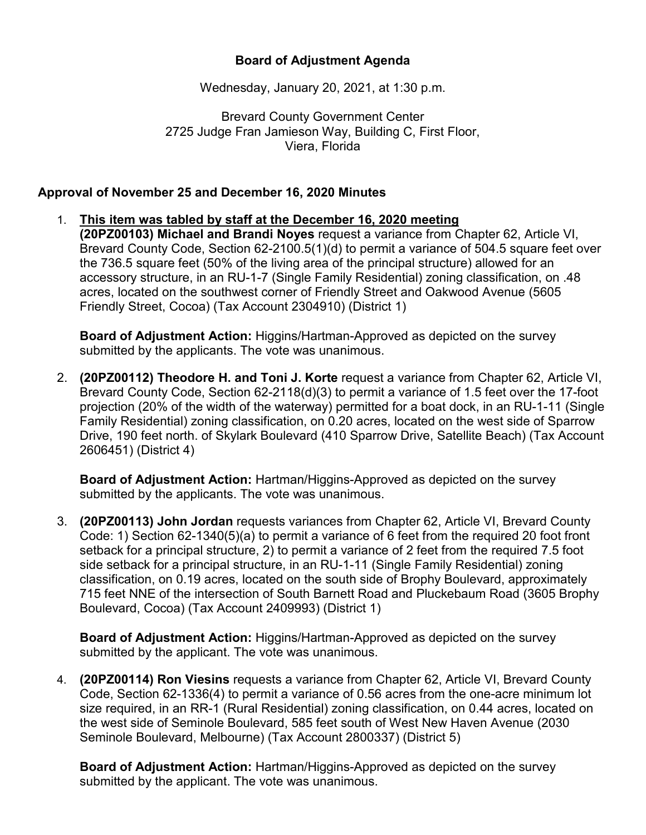## **Board of Adjustment Agenda**

Wednesday, January 20, 2021, at 1:30 p.m.

Brevard County Government Center 2725 Judge Fran Jamieson Way, Building C, First Floor, Viera, Florida

## **Approval of November 25 and December 16, 2020 Minutes**

1. **This item was tabled by staff at the December 16, 2020 meeting (20PZ00103) Michael and Brandi Noyes** request a variance from Chapter 62, Article VI, Brevard County Code, Section 62-2100.5(1)(d) to permit a variance of 504.5 square feet over the 736.5 square feet (50% of the living area of the principal structure) allowed for an accessory structure, in an RU-1-7 (Single Family Residential) zoning classification, on .48 acres, located on the southwest corner of Friendly Street and Oakwood Avenue (5605 Friendly Street, Cocoa) (Tax Account 2304910) (District 1)

**Board of Adjustment Action:** Higgins/Hartman-Approved as depicted on the survey submitted by the applicants. The vote was unanimous.

2. **(20PZ00112) Theodore H. and Toni J. Korte** request a variance from Chapter 62, Article VI, Brevard County Code, Section 62-2118(d)(3) to permit a variance of 1.5 feet over the 17-foot projection (20% of the width of the waterway) permitted for a boat dock, in an RU-1-11 (Single Family Residential) zoning classification, on 0.20 acres, located on the west side of Sparrow Drive, 190 feet north. of Skylark Boulevard (410 Sparrow Drive, Satellite Beach) (Tax Account 2606451) (District 4)

**Board of Adjustment Action:** Hartman/Higgins-Approved as depicted on the survey submitted by the applicants. The vote was unanimous.

3. **(20PZ00113) John Jordan** requests variances from Chapter 62, Article VI, Brevard County Code: 1) Section 62-1340(5)(a) to permit a variance of 6 feet from the required 20 foot front setback for a principal structure, 2) to permit a variance of 2 feet from the required 7.5 foot side setback for a principal structure, in an RU-1-11 (Single Family Residential) zoning classification, on 0.19 acres, located on the south side of Brophy Boulevard, approximately 715 feet NNE of the intersection of South Barnett Road and Pluckebaum Road (3605 Brophy Boulevard, Cocoa) (Tax Account 2409993) (District 1)

**Board of Adjustment Action:** Higgins/Hartman-Approved as depicted on the survey submitted by the applicant. The vote was unanimous.

4. **(20PZ00114) Ron Viesins** requests a variance from Chapter 62, Article VI, Brevard County Code, Section 62-1336(4) to permit a variance of 0.56 acres from the one-acre minimum lot size required, in an RR-1 (Rural Residential) zoning classification, on 0.44 acres, located on the west side of Seminole Boulevard, 585 feet south of West New Haven Avenue (2030 Seminole Boulevard, Melbourne) (Tax Account 2800337) (District 5)

**Board of Adjustment Action:** Hartman/Higgins-Approved as depicted on the survey submitted by the applicant. The vote was unanimous.